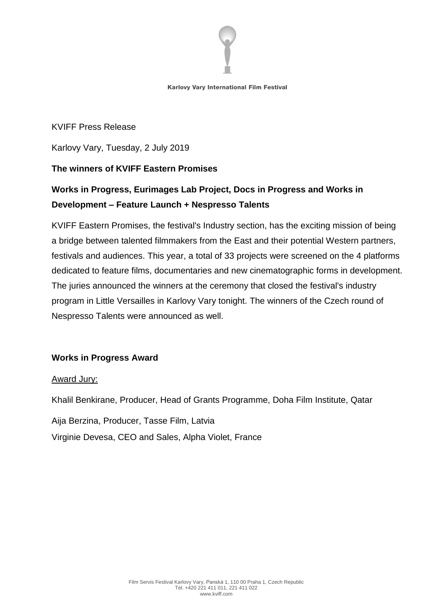

KVIFF Press Release

Karlovy Vary, Tuesday, 2 July 2019

# **The winners of KVIFF Eastern Promises**

# **Works in Progress, Eurimages Lab Project, Docs in Progress and Works in Development – Feature Launch + Nespresso Talents**

KVIFF Eastern Promises, the festival's Industry section, has the exciting mission of being a bridge between talented filmmakers from the East and their potential Western partners, festivals and audiences. This year, a total of 33 projects were screened on the 4 platforms dedicated to feature films, documentaries and new cinematographic forms in development. The juries announced the winners at the ceremony that closed the festival's industry program in Little Versailles in Karlovy Vary tonight. The winners of the Czech round of Nespresso Talents were announced as well.

# **Works in Progress Award**

### Award Jury:

Khalil Benkirane, Producer, Head of Grants Programme, Doha Film Institute, Qatar

Aija Berzina, Producer, Tasse Film, Latvia

Virginie Devesa, CEO and Sales, Alpha Violet, France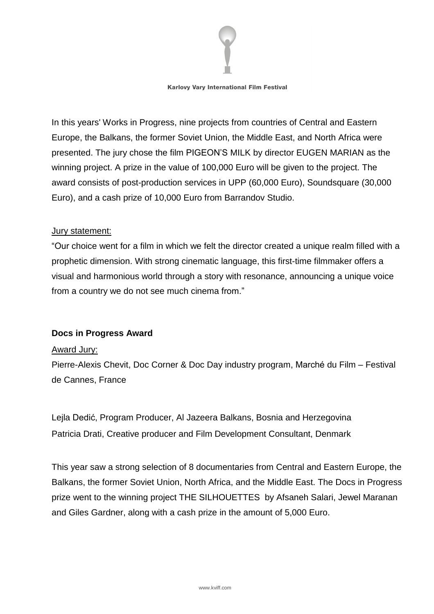

In this years' Works in Progress, nine projects from countries of Central and Eastern Europe, the Balkans, the former Soviet Union, the Middle East, and North Africa were presented. The jury chose the film PIGEON'S MILK by director EUGEN MARIAN as the winning project. A prize in the value of 100,000 Euro will be given to the project. The award consists of post-production services in UPP (60,000 Euro), Soundsquare (30,000 Euro), and a cash prize of 10,000 Euro from Barrandov Studio.

#### Jury statement:

"Our choice went for a film in which we felt the director created a unique realm filled with a prophetic dimension. With strong cinematic language, this first-time filmmaker offers a visual and harmonious world through a story with resonance, announcing a unique voice from a country we do not see much cinema from."

### **Docs in Progress Award**

#### Award Jury:

Pierre-Alexis Chevit, Doc Corner & Doc Day industry program, Marché du Film – Festival de Cannes, France

Lejla Dedić, Program Producer, Al Jazeera Balkans, Bosnia and Herzegovina Patricia Drati, Creative producer and Film Development Consultant, Denmark

This year saw a strong selection of 8 documentaries from Central and Eastern Europe, the Balkans, the former Soviet Union, North Africa, and the Middle East. The Docs in Progress prize went to the winning project THE SILHOUETTES by Afsaneh Salari, Jewel Maranan and Giles Gardner, along with a cash prize in the amount of 5,000 Euro.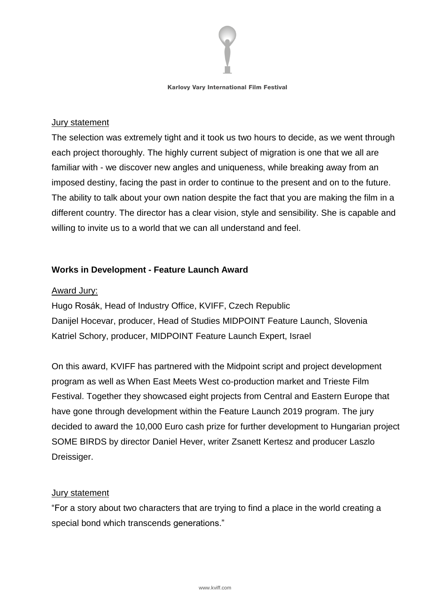

### Jury statement

The selection was extremely tight and it took us two hours to decide, as we went through each project thoroughly. The highly current subject of migration is one that we all are familiar with - we discover new angles and uniqueness, while breaking away from an imposed destiny, facing the past in order to continue to the present and on to the future. The ability to talk about your own nation despite the fact that you are making the film in a different country. The director has a clear vision, style and sensibility. She is capable and willing to invite us to a world that we can all understand and feel.

# **Works in Development - Feature Launch Award**

# Award Jury:

Hugo Rosák, Head of Industry Office, KVIFF, Czech Republic Danijel Hocevar, producer, Head of Studies MIDPOINT Feature Launch, Slovenia Katriel Schory, producer, MIDPOINT Feature Launch Expert, Israel

On this award, KVIFF has partnered with the Midpoint script and project development program as well as When East [Meets](http://www.wemw.it/) West co-production market and [Trieste](http://www.triestefilmfestival.it/?lang=en) Film [Festival.](http://www.triestefilmfestival.it/?lang=en) Together they showcased eight projects from Central and Eastern Europe that have gone through development within the [Feature](https://www.midpoint-center.eu/programs/190-midpoint-feature-launch-2019) Launch 2019 program. The jury decided to award the 10,000 Euro cash prize for further development to Hungarian project SOME BIRDS by director Daniel Hever, writer Zsanett Kertesz and producer Laszlo Dreissiger.

### Jury statement

"For a story about two characters that are trying to find a place in the world creating a special bond which transcends generations."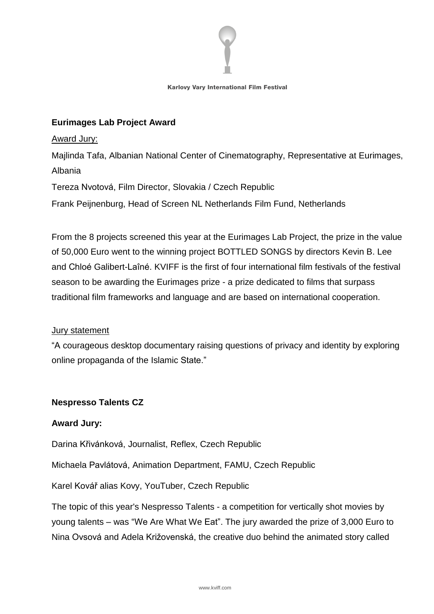

# **Eurimages Lab Project Award**

#### Award Jury:

Majlinda Tafa, Albanian National Center of Cinematography, Representative at Eurimages, Albania

Tereza Nvotová, Film Director, Slovakia / Czech Republic

Frank Peijnenburg, Head of Screen NL Netherlands Film Fund, Netherlands

From the 8 projects screened this year at the Eurimages Lab Project, the prize in the value of 50,000 Euro went to the winning project BOTTLED SONGS by directors Kevin B. Lee and Chloé Galibert-Laîné. KVIFF is the first of four international film festivals of the festival season to be awarding the Eurimages prize - a prize dedicated to films that surpass traditional film frameworks and language and are based on international cooperation.

### **Jury statement**

"A courageous desktop documentary raising questions of privacy and identity by exploring online propaganda of the Islamic State."

### **Nespresso Talents CZ**

### **Award Jury:**

Darina Křivánková, Journalist, Reflex, Czech Republic

Michaela Pavlátová, Animation Department, FAMU, Czech Republic

Karel Kovář alias Kovy, YouTuber, Czech Republic

The topic of this year's Nespresso Talents - a competition for vertically shot movies by young talents – was "We Are What We Eat". The jury awarded the prize of 3,000 Euro to Nina Ovsová and Adela Križovenská, the creative duo behind the animated story called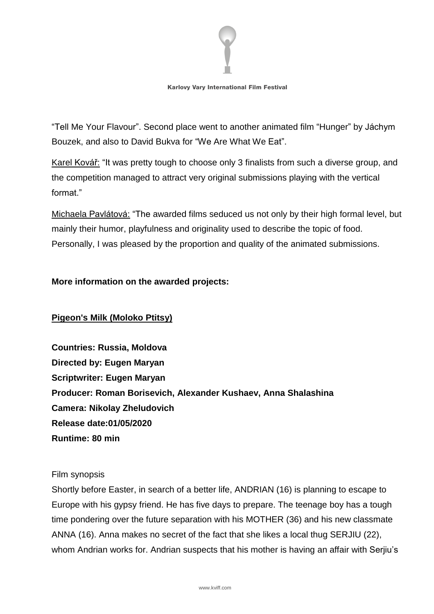

"Tell Me Your Flavour". Second place went to another animated film "Hunger" by Jáchym Bouzek, and also to David Bukva for "We Are What We Eat".

Karel Kovář: "It was pretty tough to choose only 3 finalists from such a diverse group, and the competition managed to attract very original submissions playing with the vertical format<sup>"</sup>

Michaela Pavlátová: "The awarded films seduced us not only by their high formal level, but mainly their humor, playfulness and originality used to describe the topic of food. Personally, I was pleased by the proportion and quality of the animated submissions.

### **More information on the awarded projects:**

### **Pigeon's Milk (Moloko Ptitsy)**

**Countries: Russia, Moldova Directed by: Eugen Maryan Scriptwriter: Eugen Maryan Producer: Roman Borisevich, Alexander Kushaev, Anna Shalashina Camera: Nikolay Zheludovich Release date:01/05/2020 Runtime: 80 min**

#### Film synopsis

Shortly before Easter, in search of a better life, ANDRIAN (16) is planning to escape to Europe with his gypsy friend. He has five days to prepare. The teenage boy has a tough time pondering over the future separation with his MOTHER (36) and his new classmate ANNA (16). Anna makes no secret of the fact that she likes a local thug SERJIU (22), whom Andrian works for. Andrian suspects that his mother is having an affair with Serjiu's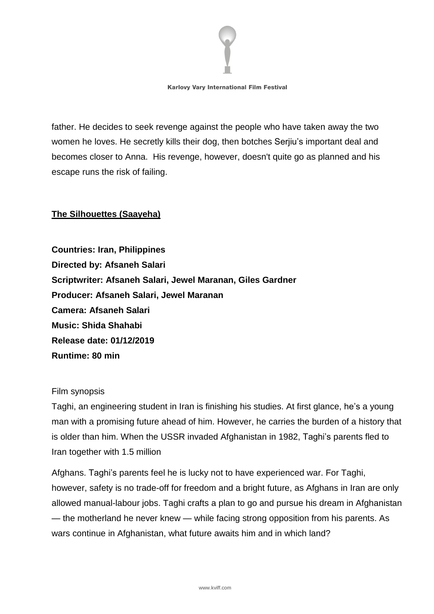

father. He decides to seek revenge against the people who have taken away the two women he loves. He secretly kills their dog, then botches Serjiu's important deal and becomes closer to Anna. His revenge, however, doesn't quite go as planned and his escape runs the risk of failing.

# **The Silhouettes (Saayeha)**

**Countries: Iran, Philippines Directed by: Afsaneh Salari Scriptwriter: Afsaneh Salari, Jewel Maranan, Giles Gardner Producer: Afsaneh Salari, Jewel Maranan Camera: Afsaneh Salari Music: Shida Shahabi Release date: 01/12/2019 Runtime: 80 min**

#### Film synopsis

Taghi, an engineering student in Iran is finishing his studies. At first glance, he's a young man with a promising future ahead of him. However, he carries the burden of a history that is older than him. When the USSR invaded Afghanistan in 1982, Taghi's parents fled to Iran together with 1.5 million

Afghans. Taghi's parents feel he is lucky not to have experienced war. For Taghi, however, safety is no trade-off for freedom and a bright future, as Afghans in Iran are only allowed manual-labour jobs. Taghi crafts a plan to go and pursue his dream in Afghanistan — the motherland he never knew — while facing strong opposition from his parents. As wars continue in Afghanistan, what future awaits him and in which land?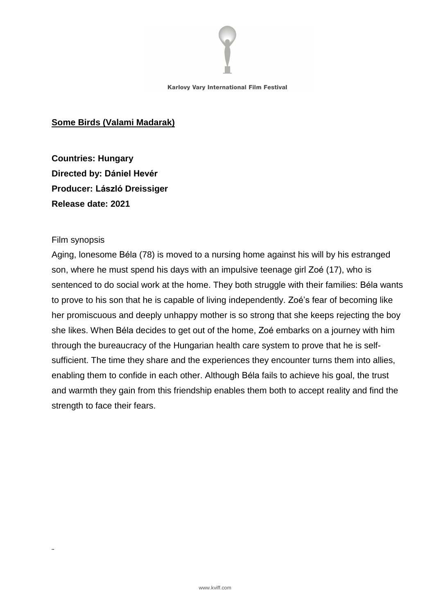

### **Some Birds (Valami Madarak)**

**Countries: Hungary Directed by: Dániel Hevér Producer: László Dreissiger Release date: 2021**

#### Film synopsis

¨

Aging, lonesome Béla (78) is moved to a nursing home against his will by his estranged son, where he must spend his days with an impulsive teenage girl Zoé (17), who is sentenced to do social work at the home. They both struggle with their families: Béla wants to prove to his son that he is capable of living independently. Zoé's fear of becoming like her promiscuous and deeply unhappy mother is so strong that she keeps rejecting the boy she likes. When Béla decides to get out of the home, Zoé embarks on a journey with him through the bureaucracy of the Hungarian health care system to prove that he is selfsufficient. The time they share and the experiences they encounter turns them into allies, enabling them to confide in each other. Although Béla fails to achieve his goal, the trust and warmth they gain from this friendship enables them both to accept reality and find the strength to face their fears.